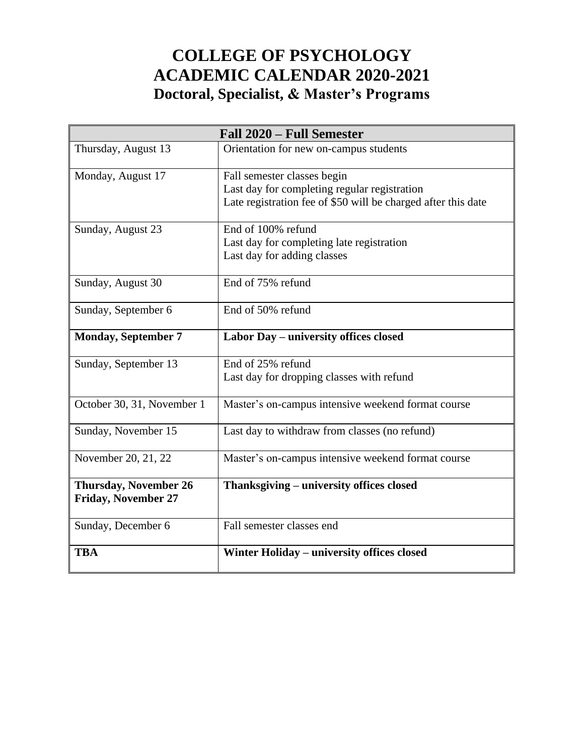# **COLLEGE OF PSYCHOLOGY ACADEMIC CALENDAR 2020-2021 Doctoral, Specialist, & Master's Programs**

| Fall 2020 – Full Semester                                  |                                                                                                                                              |  |
|------------------------------------------------------------|----------------------------------------------------------------------------------------------------------------------------------------------|--|
| Thursday, August 13                                        | Orientation for new on-campus students                                                                                                       |  |
| Monday, August 17                                          | Fall semester classes begin<br>Last day for completing regular registration<br>Late registration fee of \$50 will be charged after this date |  |
| Sunday, August 23                                          | End of 100% refund<br>Last day for completing late registration<br>Last day for adding classes                                               |  |
| Sunday, August 30                                          | End of 75% refund                                                                                                                            |  |
| Sunday, September 6                                        | End of 50% refund                                                                                                                            |  |
| <b>Monday, September 7</b>                                 | Labor Day - university offices closed                                                                                                        |  |
| Sunday, September 13                                       | End of 25% refund<br>Last day for dropping classes with refund                                                                               |  |
| October 30, 31, November 1                                 | Master's on-campus intensive weekend format course                                                                                           |  |
| Sunday, November 15                                        | Last day to withdraw from classes (no refund)                                                                                                |  |
| November 20, 21, 22                                        | Master's on-campus intensive weekend format course                                                                                           |  |
| <b>Thursday, November 26</b><br><b>Friday, November 27</b> | Thanksgiving – university offices closed                                                                                                     |  |
| Sunday, December 6                                         | Fall semester classes end                                                                                                                    |  |
| <b>TBA</b>                                                 | Winter Holiday – university offices closed                                                                                                   |  |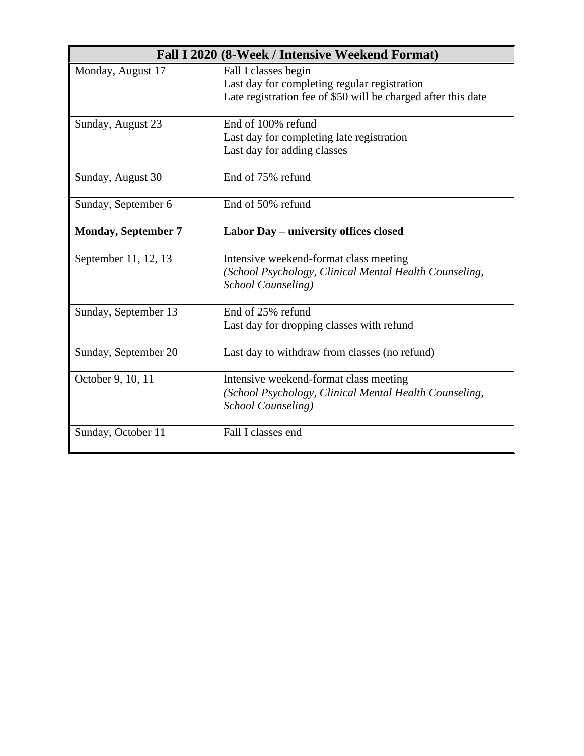|                            | Fall I 2020 (8-Week / Intensive Weekend Format)                                                                                       |
|----------------------------|---------------------------------------------------------------------------------------------------------------------------------------|
| Monday, August 17          | Fall I classes begin<br>Last day for completing regular registration<br>Late registration fee of \$50 will be charged after this date |
| Sunday, August 23          | End of 100% refund<br>Last day for completing late registration<br>Last day for adding classes                                        |
| Sunday, August 30          | End of 75% refund                                                                                                                     |
| Sunday, September 6        | End of 50% refund                                                                                                                     |
| <b>Monday, September 7</b> | Labor Day – university offices closed                                                                                                 |
| September 11, 12, 13       | Intensive weekend-format class meeting<br>(School Psychology, Clinical Mental Health Counseling,<br>School Counseling)                |
| Sunday, September 13       | End of 25% refund<br>Last day for dropping classes with refund                                                                        |
| Sunday, September 20       | Last day to withdraw from classes (no refund)                                                                                         |
| October 9, 10, 11          | Intensive weekend-format class meeting<br>(School Psychology, Clinical Mental Health Counseling,<br>School Counseling)                |
| Sunday, October 11         | Fall I classes end                                                                                                                    |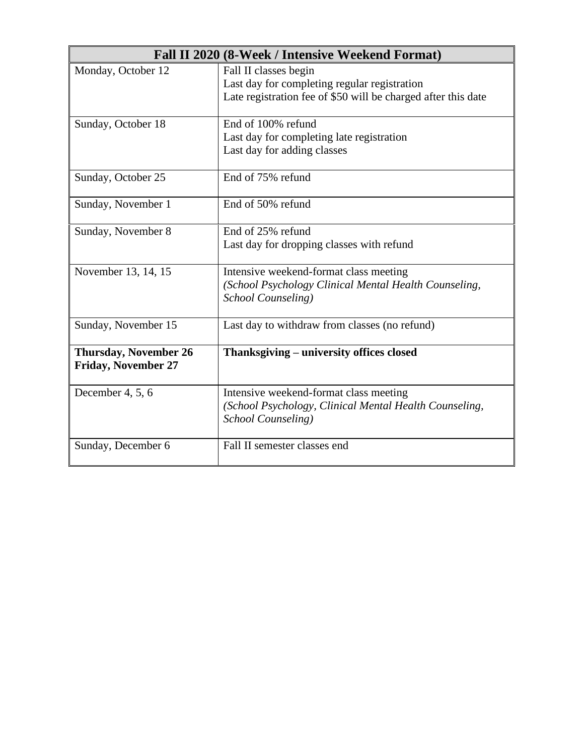|                                                            | Fall II 2020 (8-Week / Intensive Weekend Format)                                                                                       |  |
|------------------------------------------------------------|----------------------------------------------------------------------------------------------------------------------------------------|--|
| Monday, October 12                                         | Fall II classes begin<br>Last day for completing regular registration<br>Late registration fee of \$50 will be charged after this date |  |
| Sunday, October 18                                         | End of 100% refund<br>Last day for completing late registration<br>Last day for adding classes                                         |  |
| Sunday, October 25                                         | End of 75% refund                                                                                                                      |  |
| Sunday, November 1                                         | End of 50% refund                                                                                                                      |  |
| Sunday, November 8                                         | End of 25% refund<br>Last day for dropping classes with refund                                                                         |  |
| November 13, 14, 15                                        | Intensive weekend-format class meeting<br>(School Psychology Clinical Mental Health Counseling,<br>School Counseling)                  |  |
| Sunday, November 15                                        | Last day to withdraw from classes (no refund)                                                                                          |  |
| <b>Thursday, November 26</b><br><b>Friday, November 27</b> | Thanksgiving – university offices closed                                                                                               |  |
| December 4, 5, 6                                           | Intensive weekend-format class meeting<br>(School Psychology, Clinical Mental Health Counseling,<br>School Counseling)                 |  |
| Sunday, December 6                                         | Fall II semester classes end                                                                                                           |  |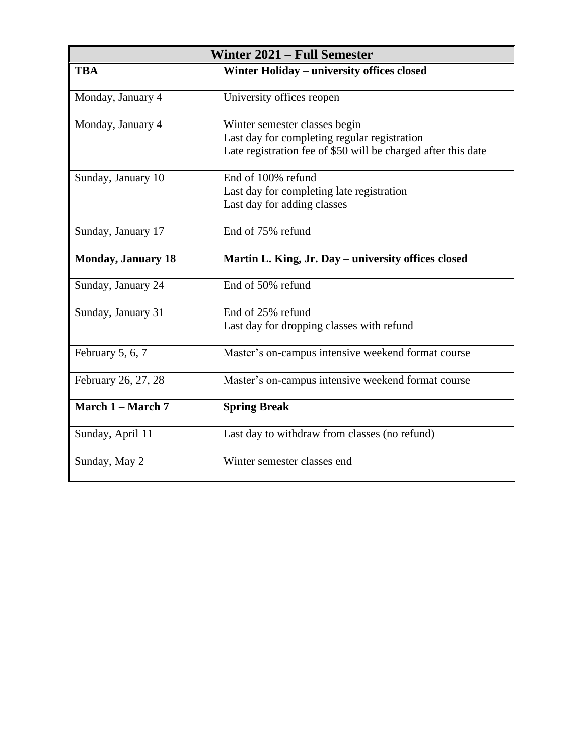| Winter 2021 – Full Semester |                                                                                                                                                |  |
|-----------------------------|------------------------------------------------------------------------------------------------------------------------------------------------|--|
| <b>TBA</b>                  | Winter Holiday - university offices closed                                                                                                     |  |
| Monday, January 4           | University offices reopen                                                                                                                      |  |
| Monday, January 4           | Winter semester classes begin<br>Last day for completing regular registration<br>Late registration fee of \$50 will be charged after this date |  |
| Sunday, January 10          | End of 100% refund<br>Last day for completing late registration<br>Last day for adding classes                                                 |  |
| Sunday, January 17          | End of 75% refund                                                                                                                              |  |
| <b>Monday, January 18</b>   | Martin L. King, Jr. Day – university offices closed                                                                                            |  |
| Sunday, January 24          | End of 50% refund                                                                                                                              |  |
| Sunday, January 31          | End of 25% refund<br>Last day for dropping classes with refund                                                                                 |  |
| February 5, 6, 7            | Master's on-campus intensive weekend format course                                                                                             |  |
| February 26, 27, 28         | Master's on-campus intensive weekend format course                                                                                             |  |
| March 1 - March 7           | <b>Spring Break</b>                                                                                                                            |  |
| Sunday, April 11            | Last day to withdraw from classes (no refund)                                                                                                  |  |
| Sunday, May 2               | Winter semester classes end                                                                                                                    |  |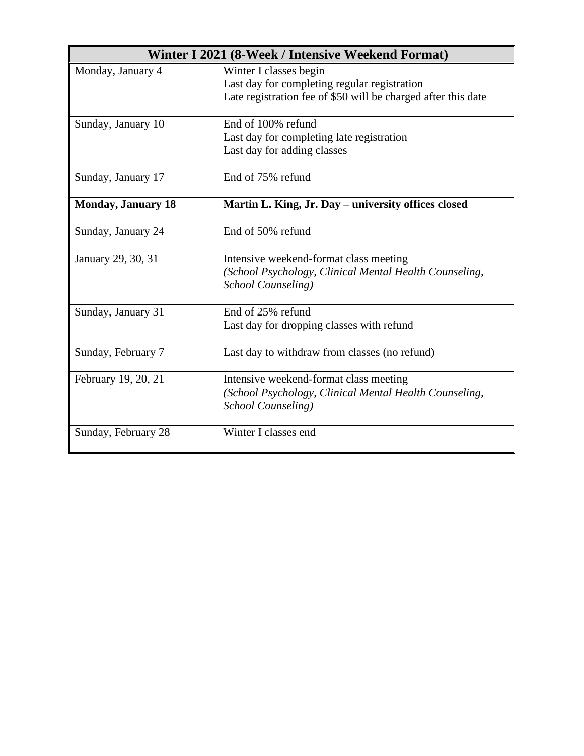|                           | Winter I 2021 (8-Week / Intensive Weekend Format)                                                                                       |
|---------------------------|-----------------------------------------------------------------------------------------------------------------------------------------|
| Monday, January 4         | Winter I classes begin<br>Last day for completing regular registration<br>Late registration fee of \$50 will be charged after this date |
| Sunday, January 10        | End of 100% refund<br>Last day for completing late registration<br>Last day for adding classes                                          |
| Sunday, January 17        | End of 75% refund                                                                                                                       |
| <b>Monday, January 18</b> | Martin L. King, Jr. Day – university offices closed                                                                                     |
| Sunday, January 24        | End of 50% refund                                                                                                                       |
| January 29, 30, 31        | Intensive weekend-format class meeting<br>(School Psychology, Clinical Mental Health Counseling,<br>School Counseling)                  |
| Sunday, January 31        | End of 25% refund<br>Last day for dropping classes with refund                                                                          |
| Sunday, February 7        | Last day to withdraw from classes (no refund)                                                                                           |
| February 19, 20, 21       | Intensive weekend-format class meeting<br>(School Psychology, Clinical Mental Health Counseling,<br>School Counseling)                  |
| Sunday, February 28       | Winter I classes end                                                                                                                    |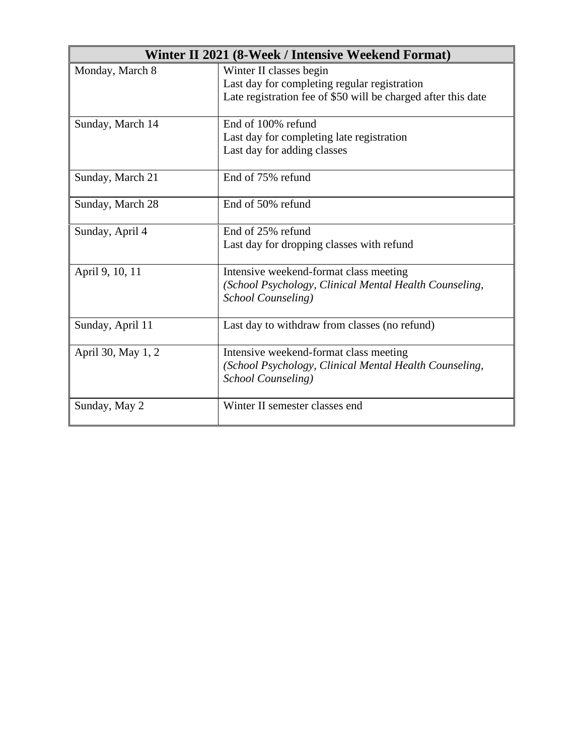| Winter II 2021 (8-Week / Intensive Weekend Format) |                                                               |
|----------------------------------------------------|---------------------------------------------------------------|
| Monday, March 8                                    | Winter II classes begin                                       |
|                                                    | Last day for completing regular registration                  |
|                                                    | Late registration fee of \$50 will be charged after this date |
| Sunday, March 14                                   | End of 100% refund                                            |
|                                                    | Last day for completing late registration                     |
|                                                    | Last day for adding classes                                   |
| Sunday, March 21                                   | End of 75% refund                                             |
| Sunday, March 28                                   | End of 50% refund                                             |
| Sunday, April 4                                    | End of 25% refund                                             |
|                                                    | Last day for dropping classes with refund                     |
| April 9, 10, 11                                    | Intensive weekend-format class meeting                        |
|                                                    | (School Psychology, Clinical Mental Health Counseling,        |
|                                                    | School Counseling)                                            |
| Sunday, April 11                                   | Last day to withdraw from classes (no refund)                 |
| April 30, May 1, 2                                 | Intensive weekend-format class meeting                        |
|                                                    | (School Psychology, Clinical Mental Health Counseling,        |
|                                                    | School Counseling)                                            |
| Sunday, May 2                                      | Winter II semester classes end                                |
|                                                    |                                                               |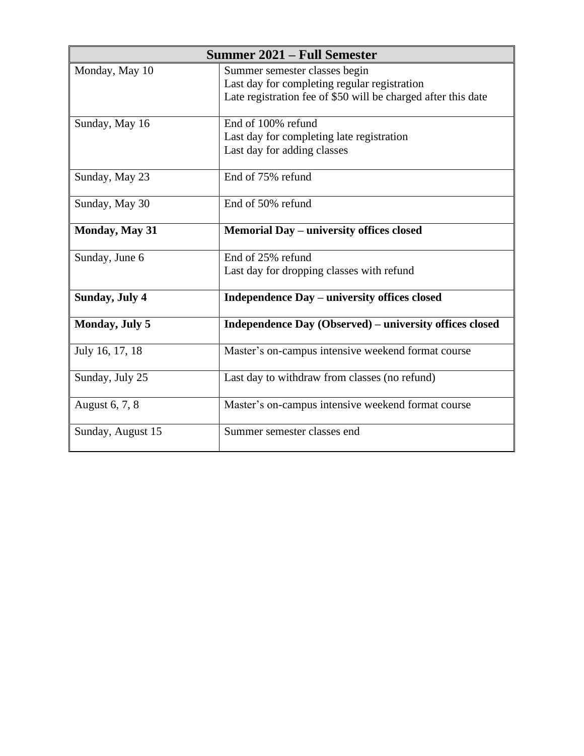|                       | Summer 2021 – Full Semester                                                                                                                    |
|-----------------------|------------------------------------------------------------------------------------------------------------------------------------------------|
| Monday, May 10        | Summer semester classes begin<br>Last day for completing regular registration<br>Late registration fee of \$50 will be charged after this date |
| Sunday, May 16        | End of 100% refund<br>Last day for completing late registration<br>Last day for adding classes                                                 |
| Sunday, May 23        | End of 75% refund                                                                                                                              |
| Sunday, May 30        | End of 50% refund                                                                                                                              |
| Monday, May 31        | Memorial Day - university offices closed                                                                                                       |
| Sunday, June 6        | End of 25% refund<br>Last day for dropping classes with refund                                                                                 |
| <b>Sunday, July 4</b> | Independence Day – university offices closed                                                                                                   |
| Monday, July 5        | Independence Day (Observed) – university offices closed                                                                                        |
| July 16, 17, 18       | Master's on-campus intensive weekend format course                                                                                             |
| Sunday, July 25       | Last day to withdraw from classes (no refund)                                                                                                  |
| August 6, 7, 8        | Master's on-campus intensive weekend format course                                                                                             |
| Sunday, August 15     | Summer semester classes end                                                                                                                    |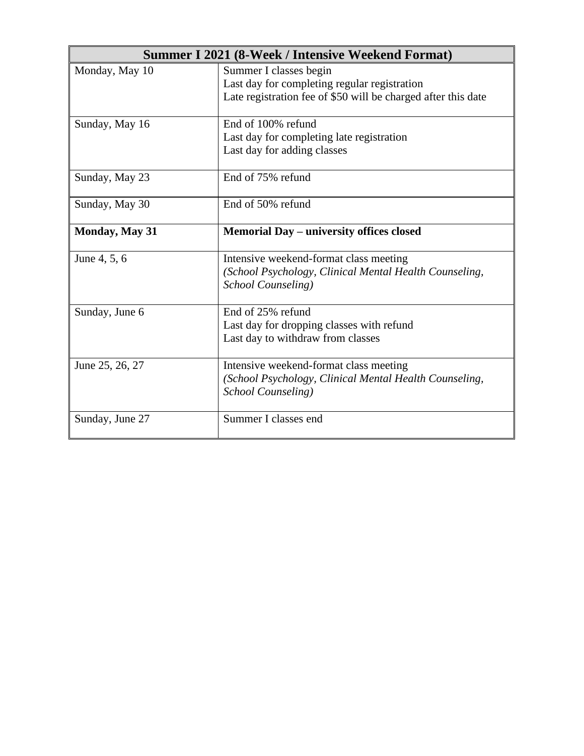|                       | <b>Summer I 2021 (8-Week / Intensive Weekend Format)</b>      |
|-----------------------|---------------------------------------------------------------|
| Monday, May 10        | Summer I classes begin                                        |
|                       | Last day for completing regular registration                  |
|                       | Late registration fee of \$50 will be charged after this date |
| Sunday, May 16        | End of 100% refund                                            |
|                       | Last day for completing late registration                     |
|                       | Last day for adding classes                                   |
| Sunday, May 23        | End of 75% refund                                             |
| Sunday, May 30        | End of 50% refund                                             |
| <b>Monday, May 31</b> | Memorial Day – university offices closed                      |
| June 4, 5, 6          | Intensive weekend-format class meeting                        |
|                       | (School Psychology, Clinical Mental Health Counseling,        |
|                       | School Counseling)                                            |
| Sunday, June 6        | End of 25% refund                                             |
|                       | Last day for dropping classes with refund                     |
|                       | Last day to withdraw from classes                             |
| June 25, 26, 27       | Intensive weekend-format class meeting                        |
|                       | (School Psychology, Clinical Mental Health Counseling,        |
|                       | School Counseling)                                            |
| Sunday, June 27       | Summer I classes end                                          |
|                       |                                                               |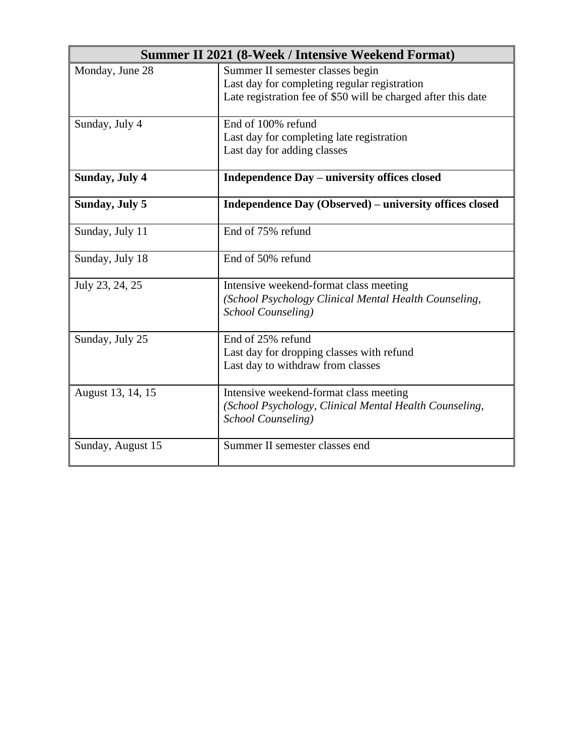| <b>Summer II 2021 (8-Week / Intensive Weekend Format)</b> |                                                                                                                                                   |  |
|-----------------------------------------------------------|---------------------------------------------------------------------------------------------------------------------------------------------------|--|
| Monday, June 28                                           | Summer II semester classes begin<br>Last day for completing regular registration<br>Late registration fee of \$50 will be charged after this date |  |
| Sunday, July 4                                            | End of 100% refund<br>Last day for completing late registration<br>Last day for adding classes                                                    |  |
| <b>Sunday, July 4</b>                                     | <b>Independence Day – university offices closed</b>                                                                                               |  |
| Sunday, July 5                                            | Independence Day (Observed) – university offices closed                                                                                           |  |
| Sunday, July 11                                           | End of 75% refund                                                                                                                                 |  |
| Sunday, July 18                                           | End of 50% refund                                                                                                                                 |  |
| July 23, 24, 25                                           | Intensive weekend-format class meeting<br>(School Psychology Clinical Mental Health Counseling,<br>School Counseling)                             |  |
| Sunday, July 25                                           | End of 25% refund<br>Last day for dropping classes with refund<br>Last day to withdraw from classes                                               |  |
| August 13, 14, 15                                         | Intensive weekend-format class meeting<br>(School Psychology, Clinical Mental Health Counseling,<br>School Counseling)                            |  |
| Sunday, August 15                                         | Summer II semester classes end                                                                                                                    |  |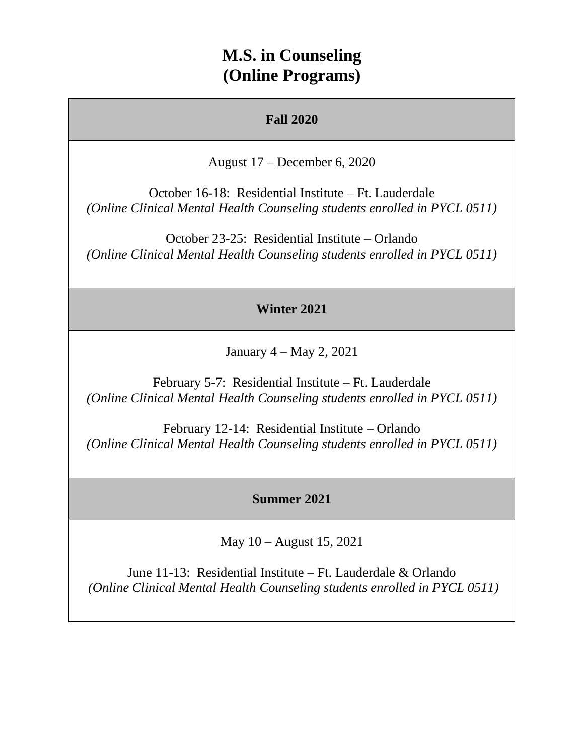## **M.S. in Counseling (Online Programs)**

### **Fall 2020**

August 17 – December 6, 2020

October 16-18: Residential Institute – Ft. Lauderdale *(Online Clinical Mental Health Counseling students enrolled in PYCL 0511)*

October 23-25: Residential Institute – Orlando *(Online Clinical Mental Health Counseling students enrolled in PYCL 0511)*

#### **Winter 2021**

January 4 – May 2, 2021

February 5-7: Residential Institute – Ft. Lauderdale *(Online Clinical Mental Health Counseling students enrolled in PYCL 0511)*

February 12-14: Residential Institute – Orlando *(Online Clinical Mental Health Counseling students enrolled in PYCL 0511)*

#### **Summer 2021**

May 10 – August 15, 2021

June 11-13: Residential Institute – Ft. Lauderdale & Orlando *(Online Clinical Mental Health Counseling students enrolled in PYCL 0511)*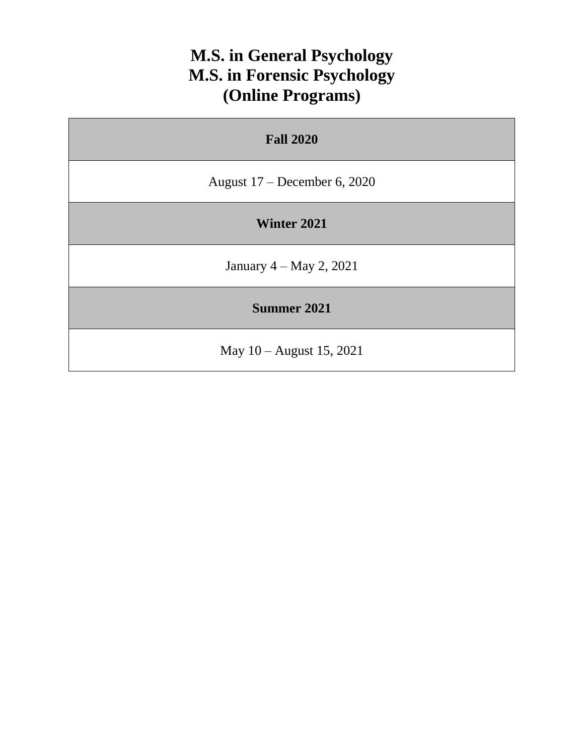# **M.S. in General Psychology M.S. in Forensic Psychology (Online Programs)**

| <b>Fall 2020</b>               |  |
|--------------------------------|--|
| August $17$ – December 6, 2020 |  |
| Winter 2021                    |  |
| January $4 - May\ 2, 2021$     |  |
| Summer 2021                    |  |
| May 10 – August 15, 2021       |  |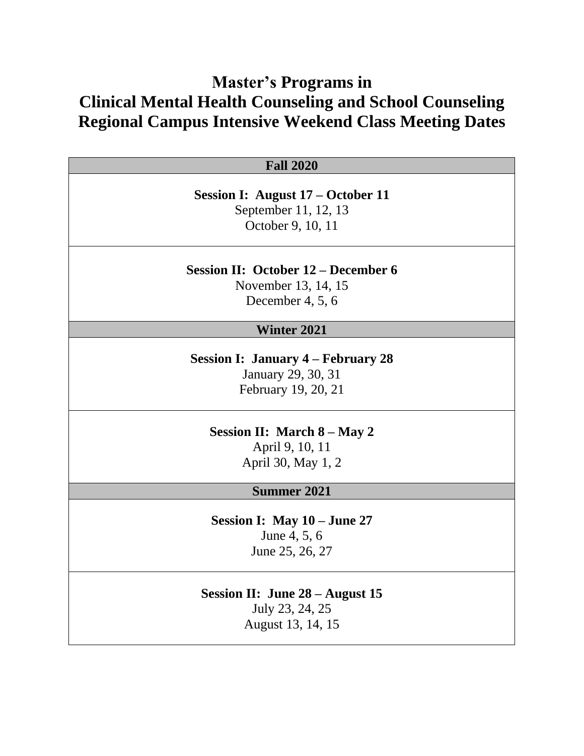# **Master's Programs in Clinical Mental Health Counseling and School Counseling Regional Campus Intensive Weekend Class Meeting Dates**

| <b>Fall 2020</b>                           |
|--------------------------------------------|
|                                            |
| Session I: August 17 – October 11          |
| September 11, 12, 13                       |
| October 9, 10, 11                          |
|                                            |
| <b>Session II: October 12 – December 6</b> |
| November 13, 14, 15                        |
| December 4, $5, 6$                         |
| <b>Winter 2021</b>                         |
| <b>Session I: January 4 – February 28</b>  |
| January 29, 30, 31                         |
| February 19, 20, 21                        |
|                                            |
| <b>Session II: March 8 – May 2</b>         |
| April 9, 10, 11                            |
| April 30, May 1, 2                         |
|                                            |
| <b>Summer 2021</b>                         |
| Session I: May 10 – June 27                |
| June 4, 5, 6                               |
| June 25, 26, 27                            |
| Session II: June $28 -$ August 15          |
| July 23, 24, 25                            |
|                                            |

August 13, 14, 15